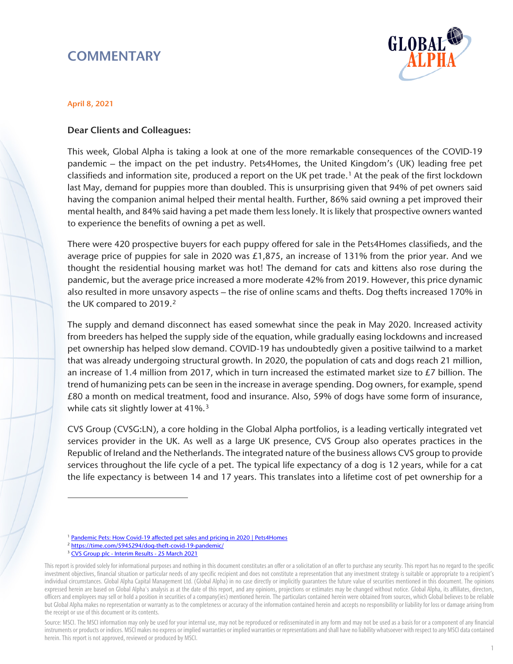## **COMMENTARY**



## April 8, 2021

## Dear Clients and Colleagues:

This week, Global Alpha is taking a look at one of the more remarkable consequences of the COVID-19 pandemic – the impact on the pet industry. Pets4Homes, the United Kingdom's (UK) leading free pet classifieds and information site, produced a report on the UK pet trade.[1](#page-0-0) At the peak of the first lockdown last May, demand for puppies more than doubled. This is unsurprising given that 94% of pet owners said having the companion animal helped their mental health. Further, 86% said owning a pet improved their mental health, and 84% said having a pet made them less lonely. It is likely that prospective owners wanted to experience the benefits of owning a pet as well.

There were 420 prospective buyers for each puppy offered for sale in the Pets4Homes classifieds, and the average price of puppies for sale in 2020 was £1,875, an increase of 131% from the prior year. And we thought the residential housing market was hot! The demand for cats and kittens also rose during the pandemic, but the average price increased a more moderate 42% from 2019. However, this price dynamic also resulted in more unsavory aspects – the rise of online scams and thefts. Dog thefts increased 170% in the UK compared to 2019.<sup>2</sup>

The supply and demand disconnect has eased somewhat since the peak in May 2020. Increased activity from breeders has helped the supply side of the equation, while gradually easing lockdowns and increased pet ownership has helped slow demand. COVID-19 has undoubtedly given a positive tailwind to a market that was already undergoing structural growth. In 2020, the population of cats and dogs reach 21 million, an increase of 1.4 million from 2017, which in turn increased the estimated market size to £7 billion. The trend of humanizing pets can be seen in the increase in average spending. Dog owners, for example, spend £80 a month on medical treatment, food and insurance. Also, 59% of dogs have some form of insurance, while cats sit slightly lower at 41%.<sup>3</sup>

CVS Group (CVSG:LN), a core holding in the Global Alpha portfolios, is a leading vertically integrated vet services provider in the UK. As well as a large UK presence, CVS Group also operates practices in the Republic of Ireland and the Netherlands. The integrated nature of the business allows CVS group to provide services throughout the life cycle of a pet. The typical life expectancy of a dog is 12 years, while for a cat the life expectancy is between 14 and 17 years. This translates into a lifetime cost of pet ownership for a

<sup>2</sup> <https://time.com/5945294/dog-theft-covid-19-pandemic/>

 $\overline{a}$ 

<sup>&</sup>lt;sup>1</sup> [Pandemic Pets: How Covid-19 affected pet sales and pricing in 2020 | Pets4Homes](https://www.pets4homes.co.uk/pet-advice/pandemic-pets-how-covid-19-affected-pet-sales-and-pricing-in-2020.html)

<sup>3</sup> [CVS Group plc - Interim Results - 25 March 2021](https://www.cvsukltd.co.uk/wp-content/uploads/2021/04/CVS-Group-plc-interim-results-presentation-25March2021.pdf)

<span id="page-0-2"></span><span id="page-0-1"></span><span id="page-0-0"></span>This report is provided solely for informational purposes and nothing in this document constitutes an offer or a solicitation of an offer to purchase any security. This report has no regard to the specific investment objectives, financial situation or particular needs of any specific recipient and does not constitute a representation that any investment strategy is suitable or appropriate to a recipient's individual circumstances. Global Alpha Capital Management Ltd. (Global Alpha) in no case directly or implicitly guarantees the future value of securities mentioned in this document. The opinions expressed herein are based on Global Alpha's analysis as at the date of this report, and any opinions, projections or estimates may be changed without notice. Global Alpha, its affiliates, directors, officers and employees may sell or hold a position in securities of a company(ies) mentioned herein. The particulars contained herein were obtained from sources, which Global believes to be reliable but Global Alpha makes no representation or warranty as to the completeness or accuracy of the information contained herein and accepts no responsibility or liability for loss or damage arising from the receipt or use of this document or its contents.

Source: MSCI. The MSCI information may only be used for your internal use, may not be reproduced or redisseminated in any form and may not be used as a basis for or a component of any financial instruments or products or indices. MSCI makes no express or implied warranties or implied warranties or representations and shall have no liability whatsoever with respect to any MSCI data contained herein. This report is not approved, reviewed or produced by MSCI.